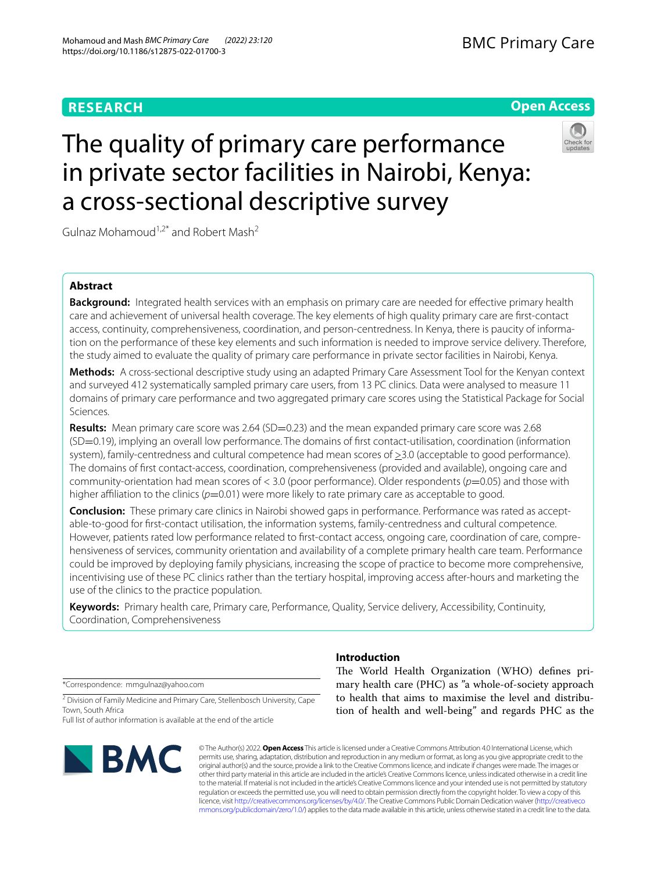# **RESEARCH**

# **Open Access**



# The quality of primary care performance in private sector facilities in Nairobi, Kenya: a cross-sectional descriptive survey

Gulnaz Mohamoud<sup>1,2\*</sup> and Robert Mash<sup>2</sup>

# **Abstract**

**Background:** Integrated health services with an emphasis on primary care are needed for efective primary health care and achievement of universal health coverage. The key elements of high quality primary care are frst-contact access, continuity, comprehensiveness, coordination, and person-centredness. In Kenya, there is paucity of information on the performance of these key elements and such information is needed to improve service delivery. Therefore, the study aimed to evaluate the quality of primary care performance in private sector facilities in Nairobi, Kenya.

**Methods:** A cross-sectional descriptive study using an adapted Primary Care Assessment Tool for the Kenyan context and surveyed 412 systematically sampled primary care users, from 13 PC clinics. Data were analysed to measure 11 domains of primary care performance and two aggregated primary care scores using the Statistical Package for Social Sciences.

**Results:** Mean primary care score was 2.64 (SD=0.23) and the mean expanded primary care score was 2.68 (SD=0.19), implying an overall low performance. The domains of frst contact-utilisation, coordination (information system), family-centredness and cultural competence had mean scores of  $\geq$ 3.0 (acceptable to good performance). The domains of frst contact-access, coordination, comprehensiveness (provided and available), ongoing care and community-orientation had mean scores of < 3.0 (poor performance). Older respondents (*p*=0.05) and those with higher affiliation to the clinics ( $p=0.01$ ) were more likely to rate primary care as acceptable to good.

**Conclusion:** These primary care clinics in Nairobi showed gaps in performance. Performance was rated as acceptable-to-good for frst-contact utilisation, the information systems, family-centredness and cultural competence. However, patients rated low performance related to frst-contact access, ongoing care, coordination of care, comprehensiveness of services, community orientation and availability of a complete primary health care team. Performance could be improved by deploying family physicians, increasing the scope of practice to become more comprehensive, incentivising use of these PC clinics rather than the tertiary hospital, improving access after-hours and marketing the use of the clinics to the practice population.

**Keywords:** Primary health care, Primary care, Performance, Quality, Service delivery, Accessibility, Continuity, Coordination, Comprehensiveness

\*Correspondence: mmgulnaz@yahoo.com

<sup>2</sup> Division of Family Medicine and Primary Care, Stellenbosch University, Cape Town, South Africa

Full list of author information is available at the end of the article



# **Introduction**

The World Health Organization (WHO) defines primary health care (PHC) as "a whole-of-society approach to health that aims to maximise the level and distribution of health and well-being" and regards PHC as the

© The Author(s) 2022. **Open Access** This article is licensed under a Creative Commons Attribution 4.0 International License, which permits use, sharing, adaptation, distribution and reproduction in any medium or format, as long as you give appropriate credit to the original author(s) and the source, provide a link to the Creative Commons licence, and indicate if changes were made. The images or other third party material in this article are included in the article's Creative Commons licence, unless indicated otherwise in a credit line to the material. If material is not included in the article's Creative Commons licence and your intended use is not permitted by statutory regulation or exceeds the permitted use, you will need to obtain permission directly from the copyright holder. To view a copy of this licence, visit [http://creativecommons.org/licenses/by/4.0/.](http://creativecommons.org/licenses/by/4.0/) The Creative Commons Public Domain Dedication waiver ([http://creativeco](http://creativecommons.org/publicdomain/zero/1.0/) [mmons.org/publicdomain/zero/1.0/](http://creativecommons.org/publicdomain/zero/1.0/)) applies to the data made available in this article, unless otherwise stated in a credit line to the data.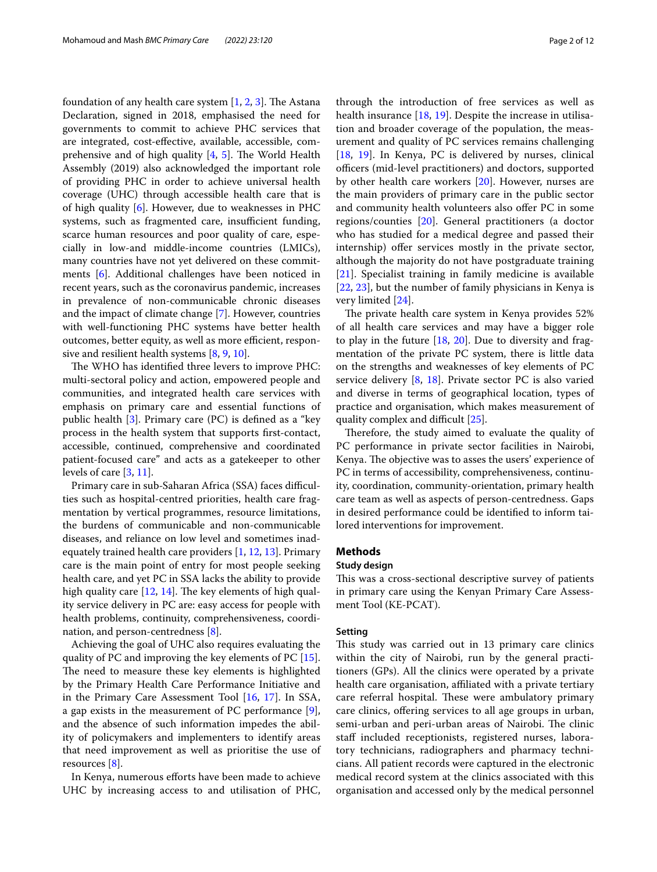foundation of any health care system  $[1, 2, 3]$  $[1, 2, 3]$  $[1, 2, 3]$  $[1, 2, 3]$  $[1, 2, 3]$ . The Astana Declaration, signed in 2018, emphasised the need for governments to commit to achieve PHC services that are integrated, cost-efective, available, accessible, comprehensive and of high quality  $[4, 5]$  $[4, 5]$  $[4, 5]$ . The World Health Assembly (2019) also acknowledged the important role of providing PHC in order to achieve universal health coverage (UHC) through accessible health care that is of high quality [[6\]](#page-10-5). However, due to weaknesses in PHC systems, such as fragmented care, insufficient funding, scarce human resources and poor quality of care, especially in low-and middle-income countries (LMICs), many countries have not yet delivered on these commitments [[6\]](#page-10-5). Additional challenges have been noticed in recent years, such as the coronavirus pandemic, increases in prevalence of non-communicable chronic diseases and the impact of climate change [\[7](#page-10-6)]. However, countries with well-functioning PHC systems have better health outcomes, better equity, as well as more efficient, responsive and resilient health systems [\[8](#page-10-7), [9,](#page-10-8) [10](#page-10-9)].

The WHO has identified three levers to improve PHC: multi-sectoral policy and action, empowered people and communities, and integrated health care services with emphasis on primary care and essential functions of public health [\[3](#page-10-2)]. Primary care (PC) is defned as a "key process in the health system that supports frst-contact, accessible, continued, comprehensive and coordinated patient-focused care" and acts as a gatekeeper to other levels of care [[3](#page-10-2), [11\]](#page-10-10).

Primary care in sub-Saharan Africa (SSA) faces difficulties such as hospital-centred priorities, health care fragmentation by vertical programmes, resource limitations, the burdens of communicable and non-communicable diseases, and reliance on low level and sometimes inadequately trained health care providers [\[1,](#page-10-0) [12](#page-10-11), [13\]](#page-10-12). Primary care is the main point of entry for most people seeking health care, and yet PC in SSA lacks the ability to provide high quality care  $[12, 14]$  $[12, 14]$  $[12, 14]$ . The key elements of high quality service delivery in PC are: easy access for people with health problems, continuity, comprehensiveness, coordination, and person-centredness [[8\]](#page-10-7).

Achieving the goal of UHC also requires evaluating the quality of PC and improving the key elements of PC [\[15](#page-10-14)]. The need to measure these key elements is highlighted by the Primary Health Care Performance Initiative and in the Primary Care Assessment Tool [\[16](#page-10-15), [17](#page-10-16)]. In SSA, a gap exists in the measurement of PC performance [\[9](#page-10-8)], and the absence of such information impedes the ability of policymakers and implementers to identify areas that need improvement as well as prioritise the use of resources [\[8](#page-10-7)].

In Kenya, numerous efforts have been made to achieve UHC by increasing access to and utilisation of PHC,

through the introduction of free services as well as health insurance  $[18, 19]$  $[18, 19]$  $[18, 19]$  $[18, 19]$ . Despite the increase in utilisation and broader coverage of the population, the measurement and quality of PC services remains challenging [[18,](#page-10-17) [19\]](#page-10-18). In Kenya, PC is delivered by nurses, clinical officers (mid-level practitioners) and doctors, supported by other health care workers [[20\]](#page-10-19). However, nurses are the main providers of primary care in the public sector and community health volunteers also offer PC in some regions/counties [[20\]](#page-10-19). General practitioners (a doctor who has studied for a medical degree and passed their internship) offer services mostly in the private sector, although the majority do not have postgraduate training [[21\]](#page-10-20). Specialist training in family medicine is available [[22,](#page-10-21) [23\]](#page-10-22), but the number of family physicians in Kenya is very limited [[24\]](#page-10-23).

The private health care system in Kenya provides 52% of all health care services and may have a bigger role to play in the future [[18,](#page-10-17) [20](#page-10-19)]. Due to diversity and fragmentation of the private PC system, there is little data on the strengths and weaknesses of key elements of PC service delivery [\[8](#page-10-7), [18\]](#page-10-17). Private sector PC is also varied and diverse in terms of geographical location, types of practice and organisation, which makes measurement of quality complex and difficult [[25](#page-10-24)].

Therefore, the study aimed to evaluate the quality of PC performance in private sector facilities in Nairobi, Kenya. The objective was to asses the users' experience of PC in terms of accessibility, comprehensiveness, continuity, coordination, community-orientation, primary health care team as well as aspects of person-centredness. Gaps in desired performance could be identifed to inform tailored interventions for improvement.

#### **Methods**

## **Study design**

This was a cross-sectional descriptive survey of patients in primary care using the Kenyan Primary Care Assessment Tool (KE-PCAT).

# **Setting**

This study was carried out in 13 primary care clinics within the city of Nairobi, run by the general practitioners (GPs). All the clinics were operated by a private health care organisation, affiliated with a private tertiary care referral hospital. These were ambulatory primary care clinics, ofering services to all age groups in urban, semi-urban and peri-urban areas of Nairobi. The clinic staff included receptionists, registered nurses, laboratory technicians, radiographers and pharmacy technicians. All patient records were captured in the electronic medical record system at the clinics associated with this organisation and accessed only by the medical personnel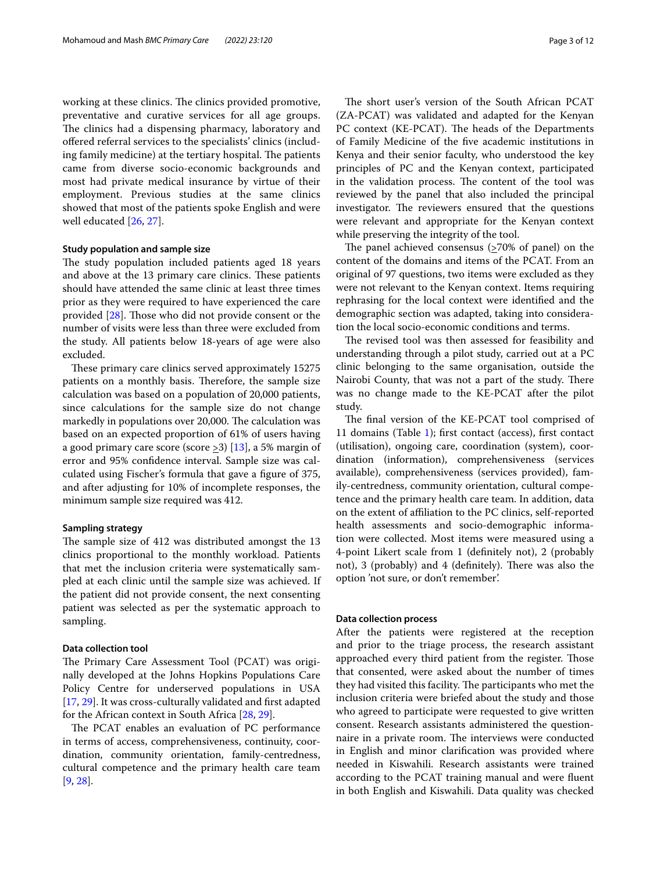working at these clinics. The clinics provided promotive, preventative and curative services for all age groups. The clinics had a dispensing pharmacy, laboratory and ofered referral services to the specialists' clinics (including family medicine) at the tertiary hospital. The patients came from diverse socio-economic backgrounds and most had private medical insurance by virtue of their employment. Previous studies at the same clinics showed that most of the patients spoke English and were well educated [[26,](#page-10-25) [27](#page-10-26)].

#### **Study population and sample size**

The study population included patients aged 18 years and above at the 13 primary care clinics. These patients should have attended the same clinic at least three times prior as they were required to have experienced the care provided  $[28]$  $[28]$ . Those who did not provide consent or the number of visits were less than three were excluded from the study. All patients below 18-years of age were also excluded.

These primary care clinics served approximately 15275 patients on a monthly basis. Therefore, the sample size calculation was based on a population of 20,000 patients, since calculations for the sample size do not change markedly in populations over 20,000. The calculation was based on an expected proportion of 61% of users having a good primary care score (score  $\geq$ 3) [[13\]](#page-10-12), a 5% margin of error and 95% confdence interval. Sample size was calculated using Fischer's formula that gave a fgure of 375, and after adjusting for 10% of incomplete responses, the minimum sample size required was 412.

#### **Sampling strategy**

The sample size of 412 was distributed amongst the 13 clinics proportional to the monthly workload. Patients that met the inclusion criteria were systematically sampled at each clinic until the sample size was achieved. If the patient did not provide consent, the next consenting patient was selected as per the systematic approach to sampling.

## **Data collection tool**

The Primary Care Assessment Tool (PCAT) was originally developed at the Johns Hopkins Populations Care Policy Centre for underserved populations in USA [[17,](#page-10-16) [29\]](#page-10-28). It was cross-culturally validated and frst adapted for the African context in South Africa [[28,](#page-10-27) [29](#page-10-28)].

The PCAT enables an evaluation of PC performance in terms of access, comprehensiveness, continuity, coordination, community orientation, family-centredness, cultural competence and the primary health care team [[9,](#page-10-8) [28](#page-10-27)].

The short user's version of the South African PCAT (ZA-PCAT) was validated and adapted for the Kenyan PC context (KE-PCAT). The heads of the Departments of Family Medicine of the fve academic institutions in Kenya and their senior faculty, who understood the key principles of PC and the Kenyan context, participated in the validation process. The content of the tool was reviewed by the panel that also included the principal investigator. The reviewers ensured that the questions were relevant and appropriate for the Kenyan context while preserving the integrity of the tool.

The panel achieved consensus  $(270\% \text{ of panel})$  on the content of the domains and items of the PCAT. From an original of 97 questions, two items were excluded as they were not relevant to the Kenyan context. Items requiring rephrasing for the local context were identifed and the demographic section was adapted, taking into consideration the local socio-economic conditions and terms.

The revised tool was then assessed for feasibility and understanding through a pilot study, carried out at a PC clinic belonging to the same organisation, outside the Nairobi County, that was not a part of the study. There was no change made to the KE-PCAT after the pilot study.

The final version of the KE-PCAT tool comprised of 11 domains (Table [1\)](#page-3-0); frst contact (access), frst contact (utilisation), ongoing care, coordination (system), coordination (information), comprehensiveness (services available), comprehensiveness (services provided), family-centredness, community orientation, cultural competence and the primary health care team. In addition, data on the extent of afliation to the PC clinics, self-reported health assessments and socio-demographic information were collected. Most items were measured using a 4-point Likert scale from 1 (defnitely not), 2 (probably not), 3 (probably) and 4 (definitely). There was also the option 'not sure, or don't remember'.

### **Data collection process**

After the patients were registered at the reception and prior to the triage process, the research assistant approached every third patient from the register. Those that consented, were asked about the number of times they had visited this facility. The participants who met the inclusion criteria were briefed about the study and those who agreed to participate were requested to give written consent. Research assistants administered the questionnaire in a private room. The interviews were conducted in English and minor clarifcation was provided where needed in Kiswahili. Research assistants were trained according to the PCAT training manual and were fuent in both English and Kiswahili. Data quality was checked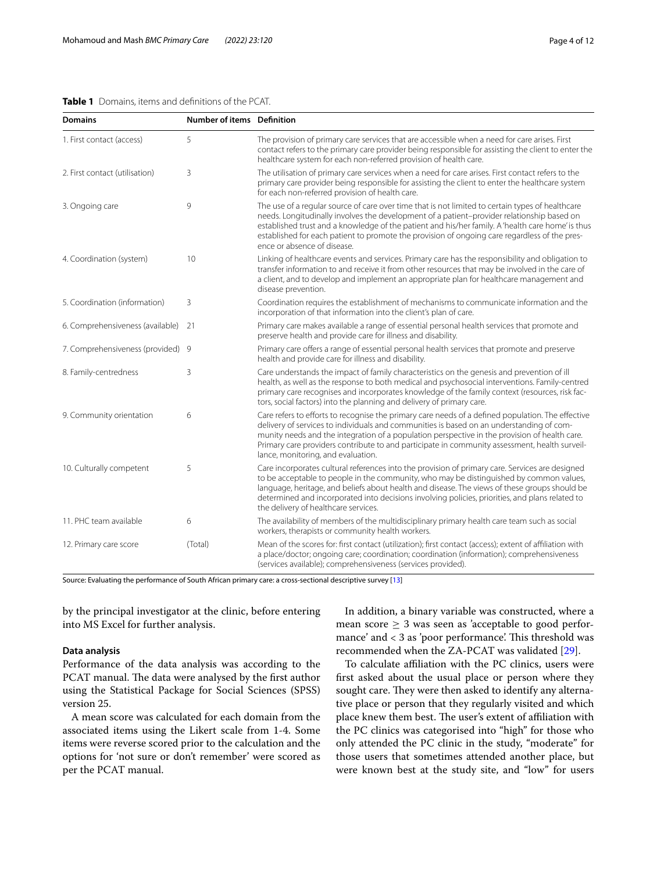## <span id="page-3-0"></span>**Table 1** Domains, items and defnitions of the PCAT.

| <b>Domains</b>                    | Number of items Definition |                                                                                                                                                                                                                                                                                                                                                                                                                                        |
|-----------------------------------|----------------------------|----------------------------------------------------------------------------------------------------------------------------------------------------------------------------------------------------------------------------------------------------------------------------------------------------------------------------------------------------------------------------------------------------------------------------------------|
| 1. First contact (access)         | 5                          | The provision of primary care services that are accessible when a need for care arises. First<br>contact refers to the primary care provider being responsible for assisting the client to enter the<br>healthcare system for each non-referred provision of health care.                                                                                                                                                              |
| 2. First contact (utilisation)    | 3                          | The utilisation of primary care services when a need for care arises. First contact refers to the<br>primary care provider being responsible for assisting the client to enter the healthcare system<br>for each non-referred provision of health care.                                                                                                                                                                                |
| 3. Ongoing care                   | 9                          | The use of a regular source of care over time that is not limited to certain types of healthcare<br>needs. Longitudinally involves the development of a patient-provider relationship based on<br>established trust and a knowledge of the patient and his/her family. A 'health care home' is thus<br>established for each patient to promote the provision of ongoing care regardless of the pres-<br>ence or absence of disease.    |
| 4. Coordination (system)          | 10                         | Linking of healthcare events and services. Primary care has the responsibility and obligation to<br>transfer information to and receive it from other resources that may be involved in the care of<br>a client, and to develop and implement an appropriate plan for healthcare management and<br>disease prevention.                                                                                                                 |
| 5. Coordination (information)     | 3                          | Coordination requires the establishment of mechanisms to communicate information and the<br>incorporation of that information into the client's plan of care.                                                                                                                                                                                                                                                                          |
| 6. Comprehensiveness (available)  | 21                         | Primary care makes available a range of essential personal health services that promote and<br>preserve health and provide care for illness and disability.                                                                                                                                                                                                                                                                            |
| 7. Comprehensiveness (provided) 9 |                            | Primary care offers a range of essential personal health services that promote and preserve<br>health and provide care for illness and disability.                                                                                                                                                                                                                                                                                     |
| 8. Family-centredness             | 3                          | Care understands the impact of family characteristics on the genesis and prevention of ill<br>health, as well as the response to both medical and psychosocial interventions. Family-centred<br>primary care recognises and incorporates knowledge of the family context (resources, risk fac-<br>tors, social factors) into the planning and delivery of primary care.                                                                |
| 9. Community orientation          | 6                          | Care refers to efforts to recognise the primary care needs of a defined population. The effective<br>delivery of services to individuals and communities is based on an understanding of com-<br>munity needs and the integration of a population perspective in the provision of health care.<br>Primary care providers contribute to and participate in community assessment, health surveil-<br>lance, monitoring, and evaluation.  |
| 10. Culturally competent          | 5                          | Care incorporates cultural references into the provision of primary care. Services are designed<br>to be acceptable to people in the community, who may be distinguished by common values,<br>language, heritage, and beliefs about health and disease. The views of these groups should be<br>determined and incorporated into decisions involving policies, priorities, and plans related to<br>the delivery of healthcare services. |
| 11. PHC team available            | 6                          | The availability of members of the multidisciplinary primary health care team such as social<br>workers, therapists or community health workers.                                                                                                                                                                                                                                                                                       |
| 12. Primary care score            | (Total)                    | Mean of the scores for: first contact (utilization); first contact (access); extent of affiliation with<br>a place/doctor; ongoing care; coordination; coordination (information); comprehensiveness<br>(services available); comprehensiveness (services provided).                                                                                                                                                                   |

Source: Evaluating the performance of South African primary care: a cross-sectional descriptive survey [[13](#page-10-12)]

by the principal investigator at the clinic, before entering into MS Excel for further analysis.

# **Data analysis**

Performance of the data analysis was according to the PCAT manual. The data were analysed by the first author using the Statistical Package for Social Sciences (SPSS) version 25.

A mean score was calculated for each domain from the associated items using the Likert scale from 1-4. Some items were reverse scored prior to the calculation and the options for 'not sure or don't remember' were scored as per the PCAT manual.

In addition, a binary variable was constructed, where a mean score  $\geq$  3 was seen as 'acceptable to good performance' and < 3 as 'poor performance'. This threshold was recommended when the ZA-PCAT was validated [\[29](#page-10-28)].

To calculate affiliation with the PC clinics, users were frst asked about the usual place or person where they sought care. They were then asked to identify any alternative place or person that they regularly visited and which place knew them best. The user's extent of affiliation with the PC clinics was categorised into "high" for those who only attended the PC clinic in the study, "moderate" for those users that sometimes attended another place, but were known best at the study site, and "low" for users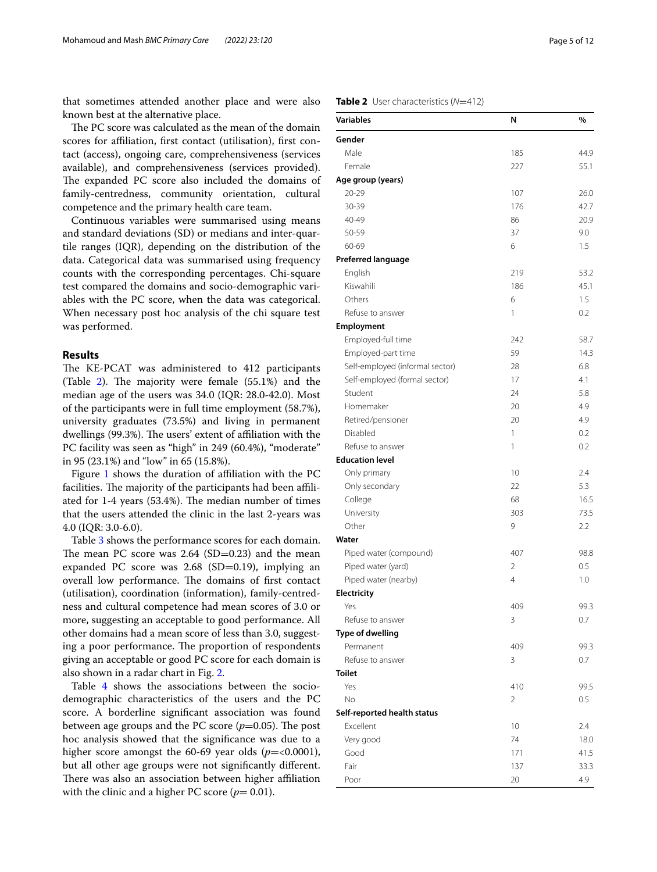that sometimes attended another place and were also known best at the alternative place.

The PC score was calculated as the mean of the domain scores for afliation, frst contact (utilisation), frst contact (access), ongoing care, comprehensiveness (services available), and comprehensiveness (services provided). The expanded PC score also included the domains of family-centredness, community orientation, cultural competence and the primary health care team.

Continuous variables were summarised using means and standard deviations (SD) or medians and inter-quartile ranges (IQR), depending on the distribution of the data. Categorical data was summarised using frequency counts with the corresponding percentages. Chi-square test compared the domains and socio-demographic variables with the PC score, when the data was categorical. When necessary post hoc analysis of the chi square test was performed.

# **Results**

The KE-PCAT was administered to 412 participants (Table  $2$ ). The majority were female (55.1%) and the median age of the users was 34.0 (IQR: 28.0-42.0). Most of the participants were in full time employment (58.7%), university graduates (73.5%) and living in permanent dwellings (99.3%). The users' extent of affiliation with the PC facility was seen as "high" in 249 (60.4%), "moderate" in 95 (23.1%) and "low" in 65 (15.8%).

Figure [1](#page-5-0) shows the duration of afliation with the PC facilities. The majority of the participants had been affiliated for 1-4 years (53.4%). The median number of times that the users attended the clinic in the last 2-years was 4.0 (IQR: 3.0-6.0).

Table [3](#page-6-0) shows the performance scores for each domain. The mean PC score was  $2.64$  (SD=0.23) and the mean expanded PC score was 2.68 (SD=0.19), implying an overall low performance. The domains of first contact (utilisation), coordination (information), family-centredness and cultural competence had mean scores of 3.0 or more, suggesting an acceptable to good performance. All other domains had a mean score of less than 3.0, suggesting a poor performance. The proportion of respondents giving an acceptable or good PC score for each domain is also shown in a radar chart in Fig. [2](#page-6-1).

Table [4](#page-7-0) shows the associations between the sociodemographic characteristics of the users and the PC score. A borderline signifcant association was found between age groups and the PC score  $(p=0.05)$ . The post hoc analysis showed that the signifcance was due to a higher score amongst the  $60-69$  year olds ( $p = < 0.0001$ ), but all other age groups were not signifcantly diferent. There was also an association between higher affiliation with the clinic and a higher PC score  $(p= 0.01)$ .

# <span id="page-4-0"></span>**Table 2** User characteristics (*N*=412)

| <b>Variables</b>                | N   | %    |
|---------------------------------|-----|------|
| Gender                          |     |      |
| Male                            | 185 | 44.9 |
| Female                          | 227 | 55.1 |
| Age group (years)               |     |      |
| $20 - 29$                       | 107 | 26.0 |
| 30-39                           | 176 | 42.7 |
| 40-49                           | 86  | 20.9 |
| 50-59                           | 37  | 9.0  |
| 60-69                           | 6   | 1.5  |
| <b>Preferred language</b>       |     |      |
| English                         | 219 | 53.2 |
| Kiswahili                       | 186 | 45.1 |
| Others                          | 6   | 1.5  |
| Refuse to answer                | 1   | 0.2  |
| Employment                      |     |      |
| Employed-full time              | 242 | 58.7 |
| Employed-part time              | 59  | 14.3 |
| Self-employed (informal sector) | 28  | 6.8  |
| Self-employed (formal sector)   | 17  | 4.1  |
| Student                         | 24  | 5.8  |
| Homemaker                       | 20  | 4.9  |
| Retired/pensioner               | 20  | 4.9  |
| Disabled                        | 1   | 0.2  |
| Refuse to answer                | 1   | 0.2  |
| <b>Education level</b>          |     |      |
| Only primary                    | 10  | 2.4  |
| Only secondary                  | 22  | 5.3  |
| College                         | 68  | 16.5 |
| University                      | 303 | 73.5 |
| Other                           | 9   | 2.2  |
| Water                           |     |      |
| Piped water (compound)          | 407 | 98.8 |
| Piped water (yard)              | 2   | 0.5  |
| Piped water (nearby)            | 4   | 1.0  |
| Electricity                     |     |      |
| Yes                             | 409 | 99.3 |
| Refuse to answer                | 3   | 0.7  |
| <b>Type of dwelling</b>         |     |      |
| Permanent                       | 409 | 99.3 |
| Refuse to answer                | 3   | 0.7  |
| <b>Toilet</b>                   |     |      |
| Yes                             | 410 | 99.5 |
| No                              | 2   | 0.5  |
| Self-reported health status     |     |      |
| Excellent                       | 10  | 2.4  |
| Very good                       | 74  | 18.0 |
| Good                            | 171 | 41.5 |
| Fair                            | 137 | 33.3 |
| Poor                            | 20  | 4.9  |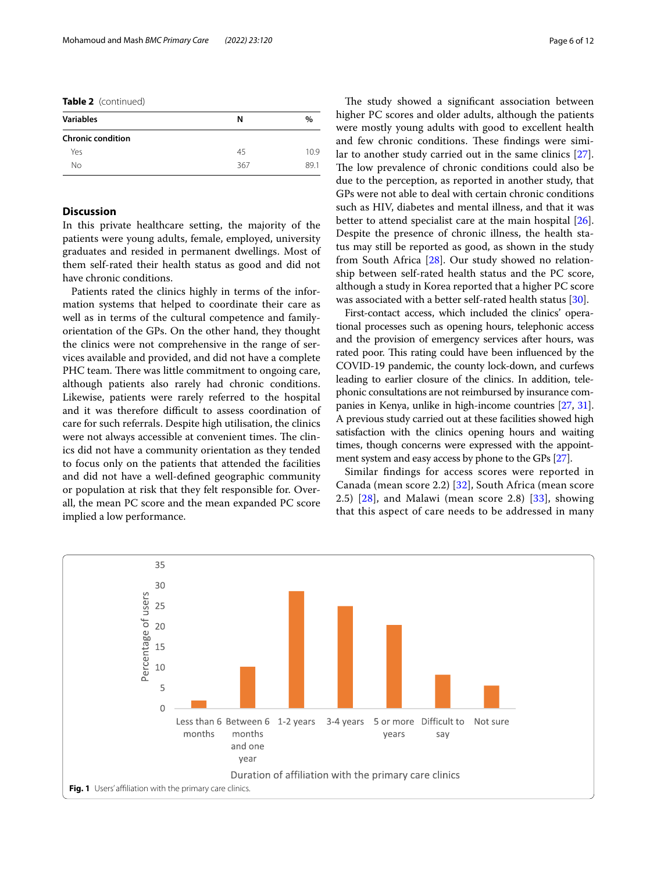**Table 2** (continued)

| <b>Variables</b>         | N   | $\%$ |
|--------------------------|-----|------|
| <b>Chronic condition</b> |     |      |
| Yes                      | 45  | 10.9 |
| No                       | 367 | 89.1 |

## **Discussion**

In this private healthcare setting, the majority of the patients were young adults, female, employed, university graduates and resided in permanent dwellings. Most of them self-rated their health status as good and did not have chronic conditions.

Patients rated the clinics highly in terms of the information systems that helped to coordinate their care as well as in terms of the cultural competence and familyorientation of the GPs. On the other hand, they thought the clinics were not comprehensive in the range of services available and provided, and did not have a complete PHC team. There was little commitment to ongoing care, although patients also rarely had chronic conditions. Likewise, patients were rarely referred to the hospital and it was therefore difficult to assess coordination of care for such referrals. Despite high utilisation, the clinics were not always accessible at convenient times. The clinics did not have a community orientation as they tended to focus only on the patients that attended the facilities and did not have a well-defned geographic community or population at risk that they felt responsible for. Overall, the mean PC score and the mean expanded PC score implied a low performance.

The study showed a significant association between higher PC scores and older adults, although the patients were mostly young adults with good to excellent health and few chronic conditions. These findings were similar to another study carried out in the same clinics [\[27](#page-10-26)]. The low prevalence of chronic conditions could also be due to the perception, as reported in another study, that GPs were not able to deal with certain chronic conditions such as HIV, diabetes and mental illness, and that it was better to attend specialist care at the main hospital [\[26](#page-10-25)]. Despite the presence of chronic illness, the health status may still be reported as good, as shown in the study from South Africa [[28\]](#page-10-27). Our study showed no relationship between self-rated health status and the PC score, although a study in Korea reported that a higher PC score was associated with a better self-rated health status [[30\]](#page-10-29).

First-contact access, which included the clinics' operational processes such as opening hours, telephonic access and the provision of emergency services after hours, was rated poor. This rating could have been influenced by the COVID-19 pandemic, the county lock-down, and curfews leading to earlier closure of the clinics. In addition, telephonic consultations are not reimbursed by insurance companies in Kenya, unlike in high-income countries [\[27,](#page-10-26) [31](#page-10-30)]. A previous study carried out at these facilities showed high satisfaction with the clinics opening hours and waiting times, though concerns were expressed with the appointment system and easy access by phone to the GPs [\[27\]](#page-10-26).

Similar fndings for access scores were reported in Canada (mean score 2.2) [[32\]](#page-10-31), South Africa (mean score 2.5)  $[28]$  $[28]$  $[28]$ , and Malawi (mean score 2.8)  $[33]$  $[33]$ , showing that this aspect of care needs to be addressed in many

<span id="page-5-0"></span>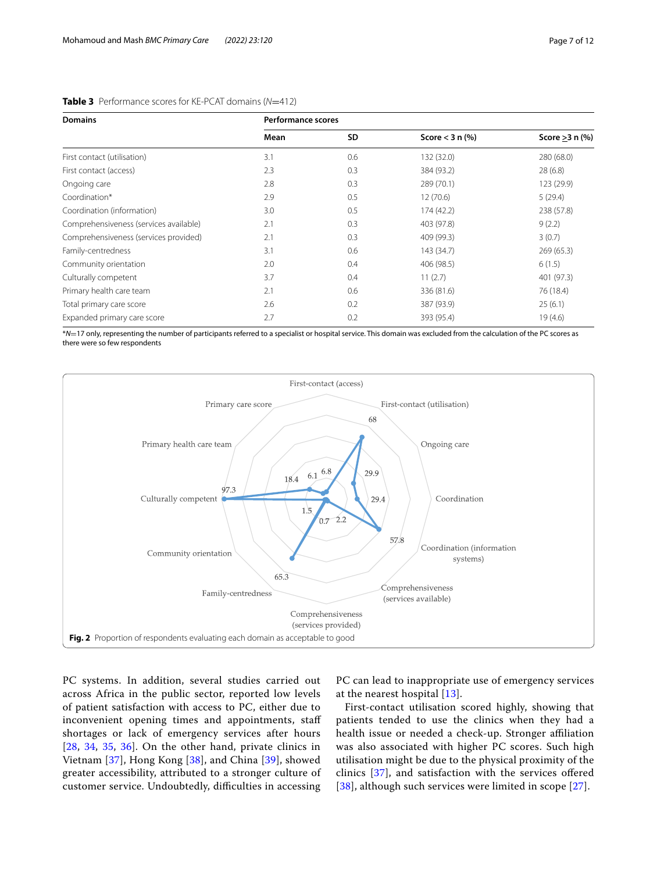| <b>Domains</b>                         | <b>Performance scores</b> |           |                      |                      |  |
|----------------------------------------|---------------------------|-----------|----------------------|----------------------|--|
|                                        | Mean                      | <b>SD</b> | Score $<$ 3 n $(\%)$ | Score $\geq$ 3 n (%) |  |
| First contact (utilisation)            | 3.1                       | 0.6       | 132 (32.0)           | 280 (68.0)           |  |
| First contact (access)                 | 2.3                       | 0.3       | 384 (93.2)           | 28(6.8)              |  |
| Ongoing care                           | 2.8                       | 0.3       | 289 (70.1)           | 123 (29.9)           |  |
| Coordination*                          | 2.9                       | 0.5       | 12(70.6)             | 5(29.4)              |  |
| Coordination (information)             | 3.0                       | 0.5       | 174 (42.2)           | 238 (57.8)           |  |
| Comprehensiveness (services available) | 2.1                       | 0.3       | 403 (97.8)           | 9(2.2)               |  |
| Comprehensiveness (services provided)  | 2.1                       | 0.3       | 409 (99.3)           | 3(0.7)               |  |
| Family-centredness                     | 3.1                       | 0.6       | 143 (34.7)           | 269(65.3)            |  |
| Community orientation                  | 2.0                       | 0.4       | 406 (98.5)           | 6(1.5)               |  |
| Culturally competent                   | 3.7                       | 0.4       | 11(2.7)              | 401 (97.3)           |  |
| Primary health care team               | 2.1                       | 0.6       | 336 (81.6)           | 76 (18.4)            |  |
| Total primary care score               | 2.6                       | 0.2       | 387 (93.9)           | 25(6.1)              |  |
| Expanded primary care score            | 2.7                       | 0.2       | 393 (95.4)           | 19(4.6)              |  |

# <span id="page-6-0"></span>**Table 3** Performance scores for KE-PCAT domains (*N*=412)

\**N*=17 only, representing the number of participants referred to a specialist or hospital service. This domain was excluded from the calculation of the PC scores as there were so few respondents



<span id="page-6-1"></span>PC systems. In addition, several studies carried out across Africa in the public sector, reported low levels of patient satisfaction with access to PC, either due to inconvenient opening times and appointments, staf shortages or lack of emergency services after hours [[28](#page-10-27), [34,](#page-10-33) [35](#page-10-34), [36\]](#page-10-35). On the other hand, private clinics in Vietnam [[37\]](#page-10-36), Hong Kong [[38\]](#page-10-37), and China [\[39](#page-10-38)], showed greater accessibility, attributed to a stronger culture of customer service. Undoubtedly, difficulties in accessing

PC can lead to inappropriate use of emergency services at the nearest hospital [[13\]](#page-10-12).

First-contact utilisation scored highly, showing that patients tended to use the clinics when they had a health issue or needed a check-up. Stronger afliation was also associated with higher PC scores. Such high utilisation might be due to the physical proximity of the clinics [\[37](#page-10-36)], and satisfaction with the services ofered [[38](#page-10-37)], although such services were limited in scope [\[27](#page-10-26)].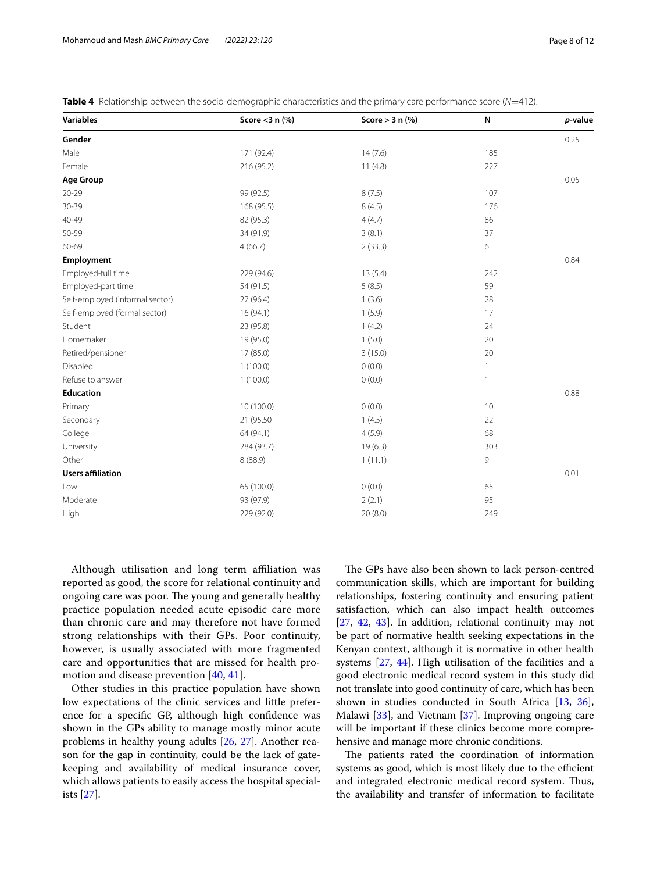| <b>Variables</b>                | Score $<$ 3 n (%) | Score $\geq$ 3 n (%) | N   | p-value |
|---------------------------------|-------------------|----------------------|-----|---------|
| Gender                          |                   |                      |     | 0.25    |
| Male                            | 171 (92.4)        | 14(7.6)              | 185 |         |
| Female                          | 216 (95.2)        | 11(4.8)              | 227 |         |
| <b>Age Group</b>                |                   |                      |     | 0.05    |
| 20-29                           | 99 (92.5)         | 8(7.5)               | 107 |         |
| 30-39                           | 168 (95.5)        | 8(4.5)               | 176 |         |
| 40-49                           | 82 (95.3)         | 4(4.7)               | 86  |         |
| 50-59                           | 34 (91.9)         | 3(8.1)               | 37  |         |
| 60-69                           | 4(66.7)           | 2(33.3)              | 6   |         |
| Employment                      |                   |                      |     | 0.84    |
| Employed-full time              | 229 (94.6)        | 13(5.4)              | 242 |         |
| Employed-part time              | 54 (91.5)         | 5(8.5)               | 59  |         |
| Self-employed (informal sector) | 27 (96.4)         | 1(3.6)               | 28  |         |
| Self-employed (formal sector)   | 16(94.1)          | 1(5.9)               | 17  |         |
| Student                         | 23 (95.8)         | 1(4.2)               | 24  |         |
| Homemaker                       | 19 (95.0)         | 1(5.0)               | 20  |         |
| Retired/pensioner               | 17 (85.0)         | 3(15.0)              | 20  |         |
| Disabled                        | 1(100.0)          | 0(0.0)               | 1   |         |
| Refuse to answer                | 1(100.0)          | 0(0.0)               | 1   |         |
| <b>Education</b>                |                   |                      |     | 0.88    |
| Primary                         | 10 (100.0)        | 0(0.0)               | 10  |         |
| Secondary                       | 21 (95.50)        | 1(4.5)               | 22  |         |
| College                         | 64 (94.1)         | 4(5.9)               | 68  |         |
| University                      | 284 (93.7)        | 19(6.3)              | 303 |         |
| Other                           | 8(88.9)           | 1(11.1)              | 9   |         |
| <b>Users affiliation</b>        |                   |                      |     | 0.01    |
| Low                             | 65 (100.0)        | 0(0.0)               | 65  |         |
| Moderate                        | 93 (97.9)         | 2(2.1)               | 95  |         |
| <b>High</b>                     | 229 (92.0)        | 20(8.0)              | 249 |         |

<span id="page-7-0"></span>**Table 4** Relationship between the socio-demographic characteristics and the primary care performance score (*N*=412).

Although utilisation and long term affiliation was reported as good, the score for relational continuity and ongoing care was poor. The young and generally healthy practice population needed acute episodic care more than chronic care and may therefore not have formed strong relationships with their GPs. Poor continuity, however, is usually associated with more fragmented care and opportunities that are missed for health promotion and disease prevention [[40](#page-10-39), [41](#page-11-0)].

Other studies in this practice population have shown low expectations of the clinic services and little preference for a specifc GP, although high confdence was shown in the GPs ability to manage mostly minor acute problems in healthy young adults [[26](#page-10-25), [27\]](#page-10-26). Another reason for the gap in continuity, could be the lack of gatekeeping and availability of medical insurance cover, which allows patients to easily access the hospital specialists [[27\]](#page-10-26).

The GPs have also been shown to lack person-centred communication skills, which are important for building relationships, fostering continuity and ensuring patient satisfaction, which can also impact health outcomes [[27,](#page-10-26) [42](#page-11-1), [43\]](#page-11-2). In addition, relational continuity may not be part of normative health seeking expectations in the Kenyan context, although it is normative in other health systems [[27,](#page-10-26) [44\]](#page-11-3). High utilisation of the facilities and a good electronic medical record system in this study did not translate into good continuity of care, which has been shown in studies conducted in South Africa [\[13](#page-10-12), [36](#page-10-35)], Malawi [\[33](#page-10-32)], and Vietnam [\[37\]](#page-10-36). Improving ongoing care will be important if these clinics become more comprehensive and manage more chronic conditions.

The patients rated the coordination of information systems as good, which is most likely due to the efficient and integrated electronic medical record system. Thus, the availability and transfer of information to facilitate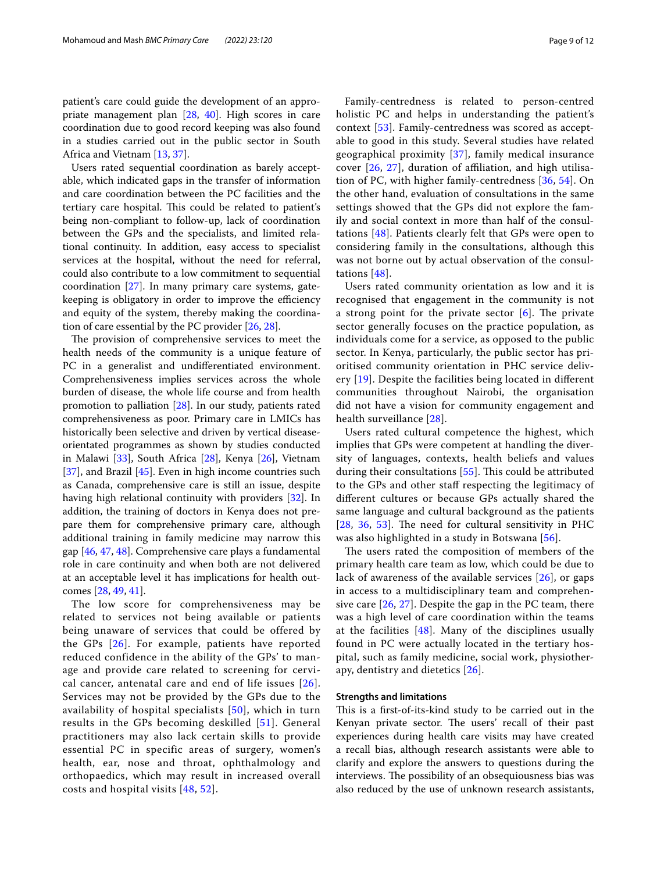patient's care could guide the development of an appropriate management plan [[28,](#page-10-27) [40](#page-10-39)]. High scores in care coordination due to good record keeping was also found in a studies carried out in the public sector in South Africa and Vietnam [\[13](#page-10-12), [37\]](#page-10-36).

Users rated sequential coordination as barely acceptable, which indicated gaps in the transfer of information and care coordination between the PC facilities and the tertiary care hospital. This could be related to patient's being non-compliant to follow-up, lack of coordination between the GPs and the specialists, and limited relational continuity. In addition, easy access to specialist services at the hospital, without the need for referral, could also contribute to a low commitment to sequential coordination [\[27](#page-10-26)]. In many primary care systems, gatekeeping is obligatory in order to improve the efficiency and equity of the system, thereby making the coordination of care essential by the PC provider [[26,](#page-10-25) [28](#page-10-27)].

The provision of comprehensive services to meet the health needs of the community is a unique feature of PC in a generalist and undifferentiated environment. Comprehensiveness implies services across the whole burden of disease, the whole life course and from health promotion to palliation [[28\]](#page-10-27). In our study, patients rated comprehensiveness as poor. Primary care in LMICs has historically been selective and driven by vertical diseaseorientated programmes as shown by studies conducted in Malawi [[33\]](#page-10-32), South Africa [\[28](#page-10-27)], Kenya [[26](#page-10-25)], Vietnam [[37\]](#page-10-36), and Brazil [[45](#page-11-4)]. Even in high income countries such as Canada, comprehensive care is still an issue, despite having high relational continuity with providers [\[32\]](#page-10-31). In addition, the training of doctors in Kenya does not prepare them for comprehensive primary care, although additional training in family medicine may narrow this gap [[46](#page-11-5), [47,](#page-11-6) [48](#page-11-7)]. Comprehensive care plays a fundamental role in care continuity and when both are not delivered at an acceptable level it has implications for health outcomes [\[28](#page-10-27), [49](#page-11-8), [41\]](#page-11-0).

The low score for comprehensiveness may be related to services not being available or patients being unaware of services that could be offered by the GPs [[26](#page-10-25)]. For example, patients have reported reduced confidence in the ability of the GPs' to manage and provide care related to screening for cervical cancer, antenatal care and end of life issues [\[26\]](#page-10-25). Services may not be provided by the GPs due to the availability of hospital specialists [[50](#page-11-9)], which in turn results in the GPs becoming deskilled [[51](#page-11-10)]. General practitioners may also lack certain skills to provide essential PC in specific areas of surgery, women's health, ear, nose and throat, ophthalmology and orthopaedics, which may result in increased overall costs and hospital visits [[48,](#page-11-7) [52](#page-11-11)].

Family-centredness is related to person-centred holistic PC and helps in understanding the patient's context [[53\]](#page-11-12). Family-centredness was scored as acceptable to good in this study. Several studies have related geographical proximity [[37](#page-10-36)], family medical insurance cover [[26,](#page-10-25) [27\]](#page-10-26), duration of afliation, and high utilisation of PC, with higher family-centredness [\[36,](#page-10-35) [54\]](#page-11-13). On the other hand, evaluation of consultations in the same settings showed that the GPs did not explore the family and social context in more than half of the consultations [[48](#page-11-7)]. Patients clearly felt that GPs were open to considering family in the consultations, although this was not borne out by actual observation of the consultations [\[48\]](#page-11-7).

Users rated community orientation as low and it is recognised that engagement in the community is not a strong point for the private sector  $[6]$  $[6]$  $[6]$ . The private sector generally focuses on the practice population, as individuals come for a service, as opposed to the public sector. In Kenya, particularly, the public sector has prioritised community orientation in PHC service delivery [\[19](#page-10-18)]. Despite the facilities being located in diferent communities throughout Nairobi, the organisation did not have a vision for community engagement and health surveillance [[28\]](#page-10-27).

Users rated cultural competence the highest, which implies that GPs were competent at handling the diversity of languages, contexts, health beliefs and values during their consultations  $[55]$  $[55]$ . This could be attributed to the GPs and other staf respecting the legitimacy of diferent cultures or because GPs actually shared the same language and cultural background as the patients  $[28, 36, 53]$  $[28, 36, 53]$  $[28, 36, 53]$  $[28, 36, 53]$  $[28, 36, 53]$  $[28, 36, 53]$  $[28, 36, 53]$ . The need for cultural sensitivity in PHC was also highlighted in a study in Botswana [[56](#page-11-15)].

The users rated the composition of members of the primary health care team as low, which could be due to lack of awareness of the available services [[26\]](#page-10-25), or gaps in access to a multidisciplinary team and comprehensive care  $[26, 27]$  $[26, 27]$  $[26, 27]$  $[26, 27]$  $[26, 27]$ . Despite the gap in the PC team, there was a high level of care coordination within the teams at the facilities [[48](#page-11-7)]. Many of the disciplines usually found in PC were actually located in the tertiary hospital, such as family medicine, social work, physiotherapy, dentistry and dietetics [\[26](#page-10-25)].

#### **Strengths and limitations**

This is a first-of-its-kind study to be carried out in the Kenyan private sector. The users' recall of their past experiences during health care visits may have created a recall bias, although research assistants were able to clarify and explore the answers to questions during the interviews. The possibility of an obsequiousness bias was also reduced by the use of unknown research assistants,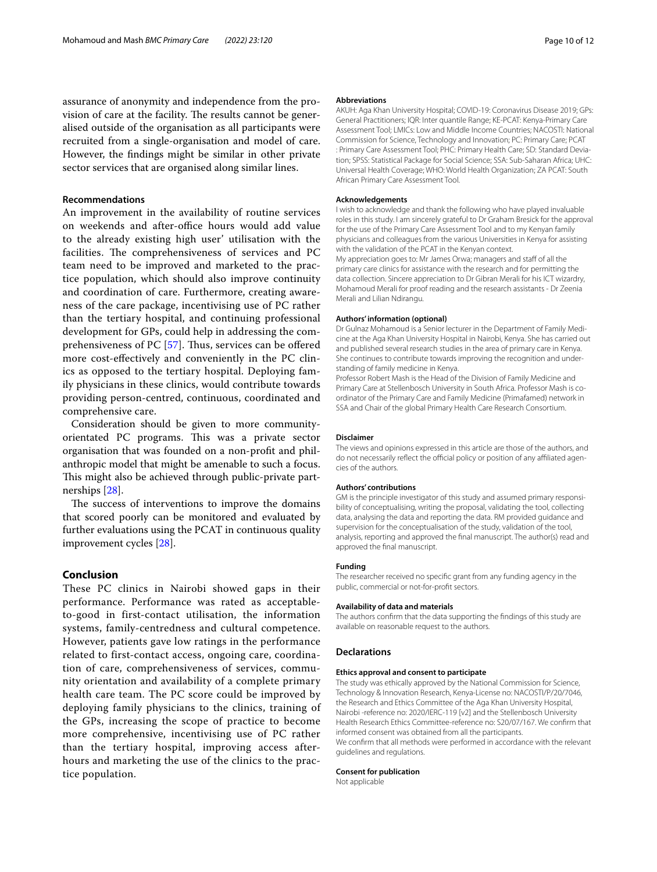assurance of anonymity and independence from the provision of care at the facility. The results cannot be generalised outside of the organisation as all participants were recruited from a single-organisation and model of care. However, the fndings might be similar in other private sector services that are organised along similar lines.

#### **Recommendations**

An improvement in the availability of routine services on weekends and after-office hours would add value to the already existing high user' utilisation with the facilities. The comprehensiveness of services and PC team need to be improved and marketed to the practice population, which should also improve continuity and coordination of care. Furthermore, creating awareness of the care package, incentivising use of PC rather than the tertiary hospital, and continuing professional development for GPs, could help in addressing the comprehensiveness of PC  $[57]$  $[57]$ . Thus, services can be offered more cost-efectively and conveniently in the PC clinics as opposed to the tertiary hospital. Deploying family physicians in these clinics, would contribute towards providing person-centred, continuous, coordinated and comprehensive care.

Consideration should be given to more communityorientated PC programs. This was a private sector organisation that was founded on a non-proft and philanthropic model that might be amenable to such a focus. This might also be achieved through public-private partnerships [[28\]](#page-10-27).

The success of interventions to improve the domains that scored poorly can be monitored and evaluated by further evaluations using the PCAT in continuous quality improvement cycles [\[28\]](#page-10-27).

#### **Conclusion**

These PC clinics in Nairobi showed gaps in their performance. Performance was rated as acceptableto-good in first-contact utilisation, the information systems, family-centredness and cultural competence. However, patients gave low ratings in the performance related to first-contact access, ongoing care, coordination of care, comprehensiveness of services, community orientation and availability of a complete primary health care team. The PC score could be improved by deploying family physicians to the clinics, training of the GPs, increasing the scope of practice to become more comprehensive, incentivising use of PC rather than the tertiary hospital, improving access afterhours and marketing the use of the clinics to the practice population.

#### **Abbreviations**

AKUH: Aga Khan University Hospital; COVID-19: Coronavirus Disease 2019; GPs: General Practitioners; IQR: Inter quantile Range; KE-PCAT: Kenya-Primary Care Assessment Tool; LMICs: Low and Middle Income Countries; NACOSTI: National Commission for Science, Technology and Innovation; PC: Primary Care; PCAT : Primary Care Assessment Tool; PHC: Primary Health Care; SD: Standard Deviation; SPSS: Statistical Package for Social Science; SSA: Sub-Saharan Africa; UHC: Universal Health Coverage; WHO: World Health Organization; ZA PCAT: South African Primary Care Assessment Tool.

#### **Acknowledgements**

I wish to acknowledge and thank the following who have played invaluable roles in this study. I am sincerely grateful to Dr Graham Bresick for the approval for the use of the Primary Care Assessment Tool and to my Kenyan family physicians and colleagues from the various Universities in Kenya for assisting with the validation of the PCAT in the Kenyan context.

My appreciation goes to: Mr James Orwa; managers and staff of all the primary care clinics for assistance with the research and for permitting the data collection. Sincere appreciation to Dr Gibran Merali for his ICT wizardry, Mohamoud Merali for proof reading and the research assistants - Dr Zeenia Merali and Lilian Ndirangu.

#### **Authors' information (optional)**

Dr Gulnaz Mohamoud is a Senior lecturer in the Department of Family Medicine at the Aga Khan University Hospital in Nairobi, Kenya. She has carried out and published several research studies in the area of primary care in Kenya. She continues to contribute towards improving the recognition and understanding of family medicine in Kenya.

Professor Robert Mash is the Head of the Division of Family Medicine and Primary Care at Stellenbosch University in South Africa. Professor Mash is coordinator of the Primary Care and Family Medicine (Primafamed) network in SSA and Chair of the global Primary Health Care Research Consortium.

#### **Disclaimer**

The views and opinions expressed in this article are those of the authors, and do not necessarily reflect the official policy or position of any affiliated agencies of the authors.

#### **Authors' contributions**

GM is the principle investigator of this study and assumed primary responsibility of conceptualising, writing the proposal, validating the tool, collecting data, analysing the data and reporting the data. RM provided guidance and supervision for the conceptualisation of the study, validation of the tool, analysis, reporting and approved the fnal manuscript. The author(s) read and approved the fnal manuscript.

#### **Funding**

The researcher received no specifc grant from any funding agency in the public, commercial or not-for-proft sectors.

#### **Availability of data and materials**

The authors confrm that the data supporting the fndings of this study are available on reasonable request to the authors.

## **Declarations**

#### **Ethics approval and consent to participate**

The study was ethically approved by the National Commission for Science, Technology & Innovation Research, Kenya-License no: NACOSTI/P/20/7046, the Research and Ethics Committee of the Aga Khan University Hospital, Nairobi -reference no: 2020/IERC-119 [v2] and the Stellenbosch University Health Research Ethics Committee-reference no: S20/07/167. We confrm that informed consent was obtained from all the participants. We confrm that all methods were performed in accordance with the relevant

# guidelines and regulations. **Consent for publication**

Not applicable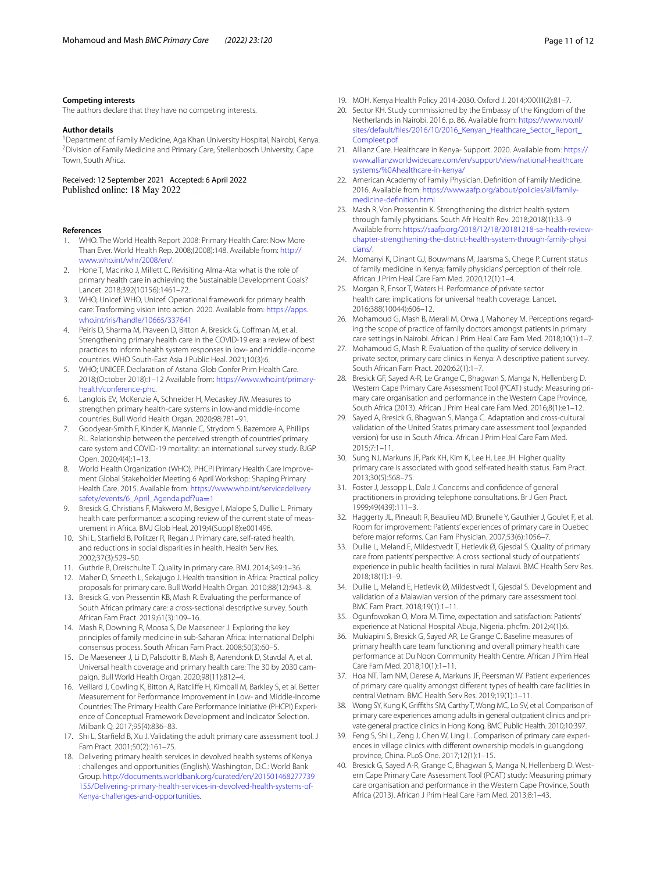#### **Competing interests**

The authors declare that they have no competing interests.

#### **Author details**

<sup>1</sup> Department of Family Medicine, Aga Khan University Hospital, Nairobi, Kenya.<br><sup>2</sup> Division of Family Medicine and Primary Care, Stellenbosch University Cane. Division of Family Medicine and Primary Care, Stellenbosch University, Cape Town, South Africa.

Received: 12 September 2021 Accepted: 6 April 2022

#### **References**

- <span id="page-10-0"></span>1. WHO. The World Health Report 2008: Primary Health Care: Now More Than Ever. World Health Rep. 2008;(2008):148. Available from: [http://](http://www.who.int/whr/2008/en/) [www.who.int/whr/2008/en/](http://www.who.int/whr/2008/en/).
- <span id="page-10-1"></span>2. Hone T, Macinko J, Millett C. Revisiting Alma-Ata: what is the role of primary health care in achieving the Sustainable Development Goals? Lancet. 2018;392(10156):1461–72.
- <span id="page-10-2"></span>3. WHO, Unicef. WHO, Unicef. Operational framework for primary health care: Trasforming vision into action. 2020. Available from: [https://apps.](https://apps.who.int/iris/handle/10665/337641) [who.int/iris/handle/10665/337641](https://apps.who.int/iris/handle/10665/337641)
- <span id="page-10-3"></span>4. Peiris D, Sharma M, Praveen D, Bitton A, Bresick G, Cofman M, et al. Strengthening primary health care in the COVID-19 era: a review of best practices to inform health system responses in low- and middle-income countries. WHO South-East Asia J Public Heal. 2021;10(3):6.
- <span id="page-10-4"></span>5. WHO; UNICEF. Declaration of Astana. Glob Confer Prim Health Care. 2018;(October 2018):1–12 Available from: [https://www.who.int/primary](https://www.who.int/primary-health/conference-phc)[health/conference-phc.](https://www.who.int/primary-health/conference-phc)
- <span id="page-10-5"></span>6. Langlois EV, McKenzie A, Schneider H, Mecaskey JW. Measures to strengthen primary health-care systems in low-and middle-income countries. Bull World Health Organ. 2020;98:781–91.
- <span id="page-10-6"></span>7. Goodyear-Smith F, Kinder K, Mannie C, Strydom S, Bazemore A, Phillips RL. Relationship between the perceived strength of countries' primary care system and COVID-19 mortality: an international survey study. BJGP Open. 2020;4(4):1–13.
- <span id="page-10-7"></span>8. World Health Organization (WHO). PHCPI Primary Health Care Improvement Global Stakeholder Meeting 6 April Workshop: Shaping Primary Health Care. 2015. Available from: [https://www.who.int/servicedelivery](https://www.who.int/servicedeliverysafety/events/6_April_Agenda.pdf?ua=1) [safety/events/6\\_April\\_Agenda.pdf?ua](https://www.who.int/servicedeliverysafety/events/6_April_Agenda.pdf?ua=1)=1
- <span id="page-10-8"></span>9. Bresick G, Christians F, Makwero M, Besigye I, Malope S, Dullie L. Primary health care performance: a scoping review of the current state of measurement in Africa. BMJ Glob Heal. 2019;4(Suppl 8):e001496.
- <span id="page-10-9"></span>10. Shi L, Starfeld B, Politzer R, Regan J. Primary care, self-rated health, and reductions in social disparities in health. Health Serv Res. 2002;37(3):529–50.
- <span id="page-10-10"></span>11. Guthrie B, Dreischulte T. Quality in primary care. BMJ. 2014;349:1–36.
- <span id="page-10-11"></span>12. Maher D, Smeeth L, Sekajugo J. Health transition in Africa: Practical policy proposals for primary care. Bull World Health Organ. 2010;88(12):943–8.
- <span id="page-10-12"></span>13. Bresick G, von Pressentin KB, Mash R. Evaluating the performance of South African primary care: a cross-sectional descriptive survey. South African Fam Pract. 2019;61(3):109–16.
- <span id="page-10-13"></span>14. Mash R, Downing R, Moosa S, De Maeseneer J. Exploring the key principles of family medicine in sub-Saharan Africa: International Delphi consensus process. South African Fam Pract. 2008;50(3):60–5.
- <span id="page-10-14"></span>15. De Maeseneer J, Li D, Palsdottir B, Mash B, Aarendonk D, Stavdal A, et al. Universal health coverage and primary health care: The 30 by 2030 campaign. Bull World Health Organ. 2020;98(11):812–4.
- <span id="page-10-15"></span>16. Veillard J, Cowling K, Bitton A, Ratclife H, Kimball M, Barkley S, et al. Better Measurement for Performance Improvement in Low- and Middle-Income Countries: The Primary Health Care Performance Initiative (PHCPI) Experience of Conceptual Framework Development and Indicator Selection. Milbank Q. 2017;95(4):836–83.
- <span id="page-10-16"></span>17. Shi L, Starfeld B, Xu J. Validating the adult primary care assessment tool. J Fam Pract. 2001;50(2):161–75.
- <span id="page-10-17"></span>18. Delivering primary health services in devolved health systems of Kenya : challenges and opportunities (English). Washington, D.C.: World Bank Group. [http://documents.worldbank.org/curated/en/201501468277739](http://documents.worldbank.org/curated/en/201501468277739155/Delivering-primary-health-services-in-devolved-health-systems-of-Kenya-challenges-and-opportunities) [155/Delivering-primary-health-services-in-devolved-health-systems-of-](http://documents.worldbank.org/curated/en/201501468277739155/Delivering-primary-health-services-in-devolved-health-systems-of-Kenya-challenges-and-opportunities)[Kenya-challenges-and-opportunities](http://documents.worldbank.org/curated/en/201501468277739155/Delivering-primary-health-services-in-devolved-health-systems-of-Kenya-challenges-and-opportunities).
- <span id="page-10-18"></span>19. MOH. Kenya Health Policy 2014-2030. Oxford J. 2014;XXXIII(2):81–7.
- <span id="page-10-19"></span>20. Sector KH. Study commissioned by the Embassy of the Kingdom of the Netherlands in Nairobi. 2016. p. 86. Available from: [https://www.rvo.nl/](https://www.rvo.nl/sites/default/files/2016/10/2016_Kenyan_Healthcare_Sector_Report_Compleet.pdf) [sites/default/fles/2016/10/2016\\_Kenyan\\_Healthcare\\_Sector\\_Report\\_](https://www.rvo.nl/sites/default/files/2016/10/2016_Kenyan_Healthcare_Sector_Report_Compleet.pdf) [Compleet.pdf](https://www.rvo.nl/sites/default/files/2016/10/2016_Kenyan_Healthcare_Sector_Report_Compleet.pdf)
- <span id="page-10-20"></span>21. Allianz Care. Healthcare in Kenya- Support. 2020. Available from: [https://](https://www.allianzworldwidecare.com/en/support/view/national-healthcaresystems/%0Ahealthcare-in-kenya/) [www.allianzworldwidecare.com/en/support/view/national-healthcare](https://www.allianzworldwidecare.com/en/support/view/national-healthcaresystems/%0Ahealthcare-in-kenya/) [systems/%0Ahealthcare-in-kenya/](https://www.allianzworldwidecare.com/en/support/view/national-healthcaresystems/%0Ahealthcare-in-kenya/)
- <span id="page-10-21"></span>22. American Academy of Family Physician. Defnition of Family Medicine. 2016. Available from: [https://www.aafp.org/about/policies/all/family](https://www.aafp.org/about/policies/all/family-medicine-definition.html)[medicine-defnition.html](https://www.aafp.org/about/policies/all/family-medicine-definition.html)
- <span id="page-10-22"></span>23. Mash R, Von Pressentin K. Strengthening the district health system through family physicians. South Afr Health Rev. 2018;2018(1):33–9 Available from: [https://saafp.org/2018/12/18/20181218-sa-health-review](https://saafp.org/2018/12/18/20181218-sa-health-review-chapter-strengthening-the-district-health-system-through-family-physicians/)[chapter-strengthening-the-district-health-system-through-family-physi](https://saafp.org/2018/12/18/20181218-sa-health-review-chapter-strengthening-the-district-health-system-through-family-physicians/) [cians/](https://saafp.org/2018/12/18/20181218-sa-health-review-chapter-strengthening-the-district-health-system-through-family-physicians/).
- <span id="page-10-23"></span>24. Momanyi K, Dinant GJ, Bouwmans M, Jaarsma S, Chege P. Current status of family medicine in Kenya; family physicians' perception of their role. African J Prim Heal Care Fam Med. 2020;12(1):1–4.
- <span id="page-10-24"></span>25. Morgan R, Ensor T, Waters H. Performance of private sector health care: implications for universal health coverage. Lancet. 2016;388(10044):606–12.
- <span id="page-10-25"></span>26. Mohamoud G, Mash B, Merali M, Orwa J, Mahoney M. Perceptions regarding the scope of practice of family doctors amongst patients in primary care settings in Nairobi. African J Prim Heal Care Fam Med. 2018;10(1):1–7.
- <span id="page-10-26"></span>27. Mohamoud G, Mash R. Evaluation of the quality of service delivery in private sector, primary care clinics in Kenya: A descriptive patient survey. South African Fam Pract. 2020;62(1):1–7.
- <span id="page-10-27"></span>28. Bresick GF, Sayed A-R, Le Grange C, Bhagwan S, Manga N, Hellenberg D. Western Cape Primary Care Assessment Tool (PCAT) study: Measuring primary care organisation and performance in the Western Cape Province, South Africa (2013). African J Prim Heal care Fam Med. 2016;8(1):e1–12.
- <span id="page-10-28"></span>29. Sayed A, Bresick G, Bhagwan S, Manga C. Adaptation and cross-cultural validation of the United States primary care assessment tool (expanded version) for use in South Africa. African J Prim Heal Care Fam Med. 2015;7:1–11.
- <span id="page-10-29"></span>30. Sung NJ, Markuns JF, Park KH, Kim K, Lee H, Lee JH. Higher quality primary care is associated with good self-rated health status. Fam Pract. 2013;30(5):568–75.
- <span id="page-10-30"></span>31. Foster J, Jessopp L, Dale J. Concerns and confdence of general practitioners in providing telephone consultations. Br J Gen Pract. 1999;49(439):111–3.
- <span id="page-10-31"></span>32. Haggerty JL, Pineault R, Beaulieu MD, Brunelle Y, Gauthier J, Goulet F, et al. Room for improvement: Patients' experiences of primary care in Quebec before major reforms. Can Fam Physician. 2007;53(6):1056–7.
- <span id="page-10-32"></span>33. Dullie L, Meland E, Mildestvedt T, Hetlevik Ø, Gjesdal S. Quality of primary care from patients' perspective: A cross sectional study of outpatients' experience in public health facilities in rural Malawi. BMC Health Serv Res. 2018;18(1):1–9.
- <span id="page-10-33"></span>34. Dullie L, Meland E, Hetlevik Ø, Mildestvedt T, Gjesdal S. Development and validation of a Malawian version of the primary care assessment tool. BMC Fam Pract. 2018;19(1):1–11.
- <span id="page-10-34"></span>35. Ogunfowokan O, Mora M. Time, expectation and satisfaction: Patients' experience at National Hospital Abuja, Nigeria. phcfm. 2012;4(1):6.
- <span id="page-10-35"></span>36. Mukiapini S, Bresick G, Sayed AR, Le Grange C. Baseline measures of primary health care team functioning and overall primary health care performance at Du Noon Community Health Centre. African J Prim Heal Care Fam Med. 2018;10(1):1–11.
- <span id="page-10-36"></span>37. Hoa NT, Tam NM, Derese A, Markuns JF, Peersman W. Patient experiences of primary care quality amongst diferent types of health care facilities in central Vietnam. BMC Health Serv Res. 2019;19(1):1–11.
- <span id="page-10-37"></span>38. Wong SY, Kung K, Grifths SM, Carthy T, Wong MC, Lo SV, et al. Comparison of primary care experiences among adults in general outpatient clinics and private general practice clinics in Hong Kong. BMC Public Health. 2010;10:397.
- <span id="page-10-38"></span>39. Feng S, Shi L, Zeng J, Chen W, Ling L. Comparison of primary care experiences in village clinics with diferent ownership models in guangdong province, China. PLoS One. 2017;12(1):1–15.
- <span id="page-10-39"></span>40. Bresick G, Sayed A-R, Grange C, Bhagwan S, Manga N, Hellenberg D. Western Cape Primary Care Assessment Tool (PCAT) study: Measuring primary care organisation and performance in the Western Cape Province, South Africa (2013). African J Prim Heal Care Fam Med. 2013;8:1–43.